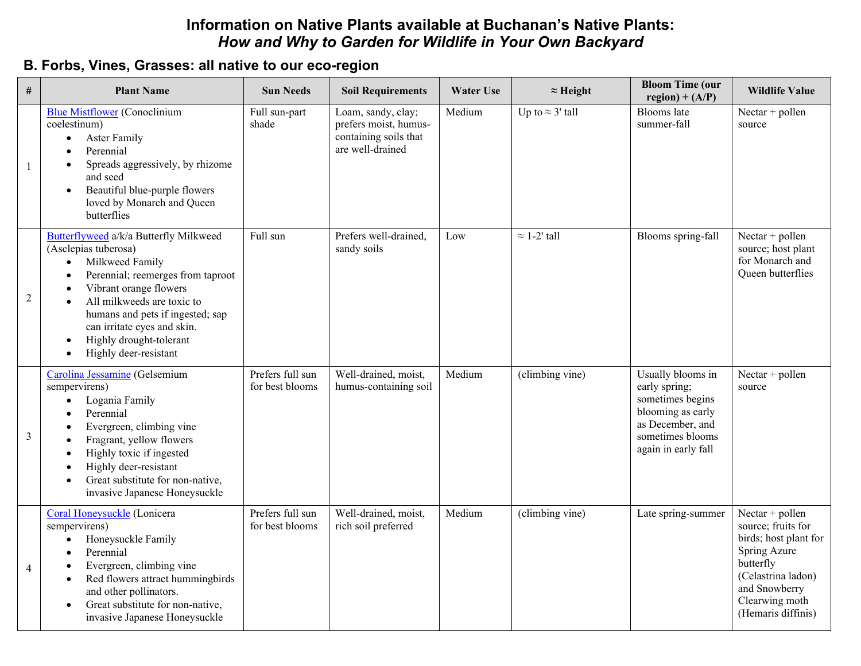## **Information on Native Plants available at Buchanan's Native Plants:** *How and Why to Garden for Wildlife in Your Own Backyard*

## **B. Forbs, Vines, Grasses: all native to our eco-region**

| #              | <b>Plant Name</b>                                                                                                                                                                                                                                                                                                               | <b>Sun Needs</b>                    | <b>Soil Requirements</b>                                                                 | <b>Water Use</b> | $\approx$ Height        | <b>Bloom Time (our</b><br>$region) + (A/P)$                                                                                                | <b>Wildlife Value</b>                                                                                                                                                      |
|----------------|---------------------------------------------------------------------------------------------------------------------------------------------------------------------------------------------------------------------------------------------------------------------------------------------------------------------------------|-------------------------------------|------------------------------------------------------------------------------------------|------------------|-------------------------|--------------------------------------------------------------------------------------------------------------------------------------------|----------------------------------------------------------------------------------------------------------------------------------------------------------------------------|
| -1             | <b>Blue Mistflower</b> (Conoclinium<br>coelestinum)<br><b>Aster Family</b><br>$\bullet$<br>Perennial<br>Spreads aggressively, by rhizome<br>and seed<br>Beautiful blue-purple flowers<br>loved by Monarch and Queen<br>butterflies                                                                                              | Full sun-part<br>shade              | Loam, sandy, clay;<br>prefers moist, humus-<br>containing soils that<br>are well-drained | Medium           | Up to $\approx$ 3' tall | Blooms late<br>summer-fall                                                                                                                 | Nectar + pollen<br>source                                                                                                                                                  |
| 2              | Butterflyweed a/k/a Butterfly Milkweed<br>(Asclepias tuberosa)<br>Milkweed Family<br>Perennial; reemerges from taproot<br>Vibrant orange flowers<br>All milkweeds are toxic to<br>humans and pets if ingested; sap<br>can irritate eyes and skin.<br>Highly drought-tolerant<br>$\bullet$<br>Highly deer-resistant<br>$\bullet$ | Full sun                            | Prefers well-drained,<br>sandy soils                                                     | Low              | $\approx$ 1-2' tall     | Blooms spring-fall                                                                                                                         | Nectar + pollen<br>source; host plant<br>for Monarch and<br>Queen butterflies                                                                                              |
| $\mathfrak{Z}$ | Carolina Jessamine (Gelsemium<br>sempervirens)<br>Logania Family<br>Perennial<br>Evergreen, climbing vine<br>Fragrant, yellow flowers<br>Highly toxic if ingested<br>Highly deer-resistant<br>Great substitute for non-native,<br>$\bullet$<br>invasive Japanese Honeysuckle                                                    | Prefers full sun<br>for best blooms | Well-drained, moist,<br>humus-containing soil                                            | Medium           | (climbing vine)         | Usually blooms in<br>early spring;<br>sometimes begins<br>blooming as early<br>as December, and<br>sometimes blooms<br>again in early fall | Nectar + pollen<br>source                                                                                                                                                  |
| $\overline{4}$ | Coral Honeysuckle (Lonicera<br>sempervirens)<br>Honeysuckle Family<br>$\bullet$<br>Perennial<br>Evergreen, climbing vine<br>Red flowers attract hummingbirds<br>and other pollinators.<br>Great substitute for non-native,<br>$\bullet$<br>invasive Japanese Honeysuckle                                                        | Prefers full sun<br>for best blooms | Well-drained, moist,<br>rich soil preferred                                              | Medium           | (climbing vine)         | Late spring-summer                                                                                                                         | Nectar + pollen<br>source; fruits for<br>birds; host plant for<br>Spring Azure<br>butterfly<br>(Celastrina ladon)<br>and Snowberry<br>Clearwing moth<br>(Hemaris diffinis) |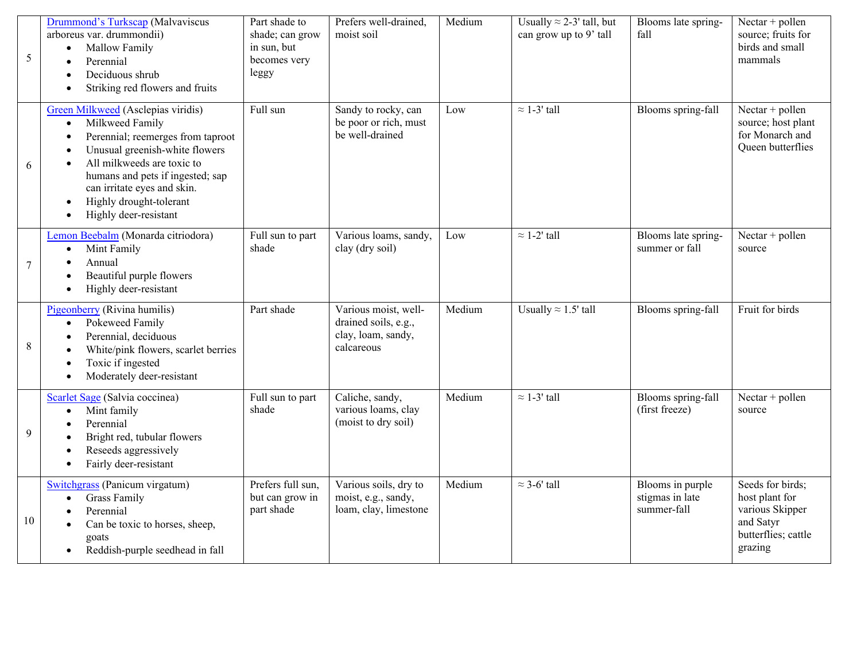| 5              | Drummond's Turkscap (Malvaviscus<br>arboreus var. drummondii)<br>Mallow Family<br>$\bullet$<br>Perennial<br>Deciduous shrub<br>Striking red flowers and fruits                                                                                                                                 | Part shade to<br>shade; can grow<br>in sun, but<br>becomes very<br>leggy | Prefers well-drained,<br>moist soil                                              | Medium | Usually $\approx$ 2-3' tall, but<br>can grow up to 9' tall | Blooms late spring-<br>fall                        | Nectar + pollen<br>source; fruits for<br>birds and small<br>mammals                                  |
|----------------|------------------------------------------------------------------------------------------------------------------------------------------------------------------------------------------------------------------------------------------------------------------------------------------------|--------------------------------------------------------------------------|----------------------------------------------------------------------------------|--------|------------------------------------------------------------|----------------------------------------------------|------------------------------------------------------------------------------------------------------|
| 6              | Green Milkweed (Asclepias viridis)<br>Milkweed Family<br>$\bullet$<br>Perennial; reemerges from taproot<br>Unusual greenish-white flowers<br>All milkweeds are toxic to<br>humans and pets if ingested; sap<br>can irritate eyes and skin.<br>Highly drought-tolerant<br>Highly deer-resistant | Full sun                                                                 | Sandy to rocky, can<br>be poor or rich, must<br>be well-drained                  | Low    | $\approx$ 1-3' tall                                        | Blooms spring-fall                                 | Nectar + pollen<br>source; host plant<br>for Monarch and<br>Queen butterflies                        |
| $\overline{7}$ | Lemon Beebalm (Monarda citriodora)<br>Mint Family<br>$\bullet$<br>Annual<br>Beautiful purple flowers<br>Highly deer-resistant                                                                                                                                                                  | Full sun to part<br>shade                                                | Various loams, sandy,<br>clay (dry soil)                                         | Low    | $\approx$ 1-2' tall                                        | Blooms late spring-<br>summer or fall              | Nectar + pollen<br>source                                                                            |
| 8              | Pigeonberry (Rivina humilis)<br>Pokeweed Family<br>$\bullet$<br>Perennial, deciduous<br>White/pink flowers, scarlet berries<br>Toxic if ingested<br>Moderately deer-resistant                                                                                                                  | Part shade                                                               | Various moist, well-<br>drained soils, e.g.,<br>clay, loam, sandy,<br>calcareous | Medium | Usually $\approx 1.5$ ' tall                               | Blooms spring-fall                                 | Fruit for birds                                                                                      |
| 9              | Scarlet Sage (Salvia coccinea)<br>Mint family<br>Perennial<br>Bright red, tubular flowers<br>Reseeds aggressively<br>Fairly deer-resistant                                                                                                                                                     | Full sun to part<br>shade                                                | Caliche, sandy,<br>various loams, clay<br>(moist to dry soil)                    | Medium | $\approx$ 1-3' tall                                        | Blooms spring-fall<br>(first freeze)               | Nectar + pollen<br>source                                                                            |
| 10             | Switchgrass (Panicum virgatum)<br><b>Grass Family</b><br>Perennial<br>Can be toxic to horses, sheep,<br>goats<br>Reddish-purple seedhead in fall                                                                                                                                               | Prefers full sun,<br>but can grow in<br>part shade                       | Various soils, dry to<br>moist, e.g., sandy,<br>loam, clay, limestone            | Medium | $\approx$ 3-6' tall                                        | Blooms in purple<br>stigmas in late<br>summer-fall | Seeds for birds;<br>host plant for<br>various Skipper<br>and Satyr<br>butterflies; cattle<br>grazing |